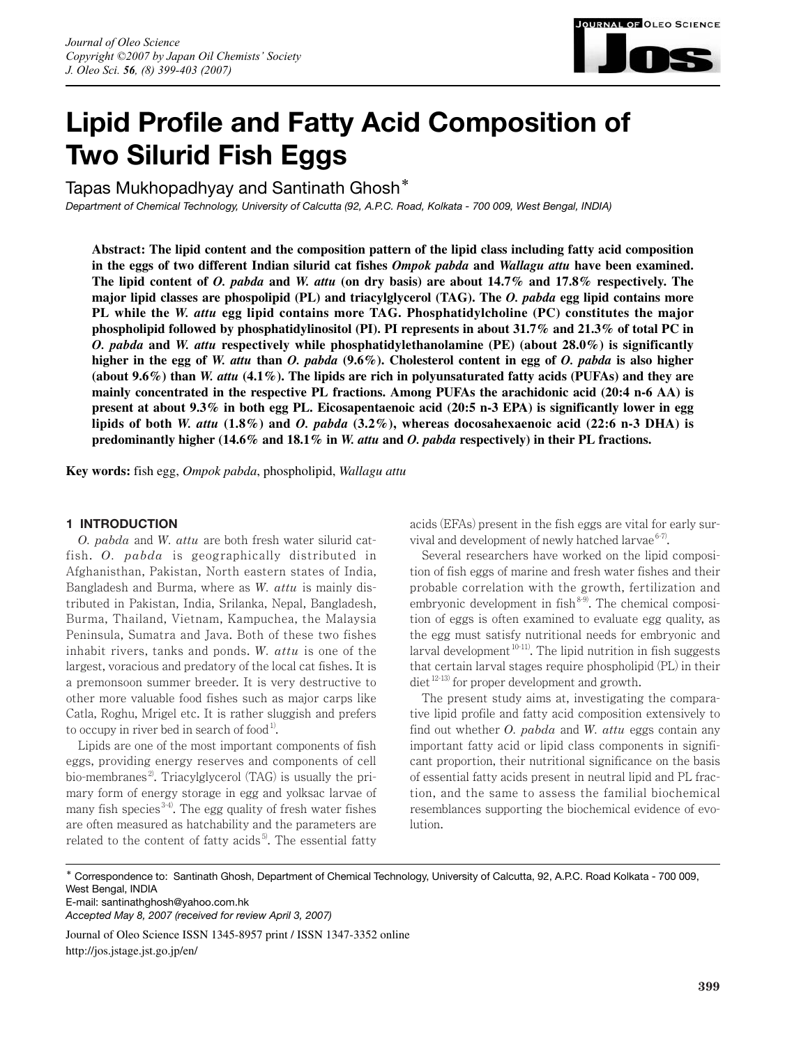

# **Lipid Profile and Fatty Acid Composition of Two Silurid Fish Eggs**

Tapas Mukhopadhyay and Santinath Ghosh**\***

*Department of Chemical Technology, University of Calcutta (92, A.P.C. Road, Kolkata - 700 009, West Bengal, INDIA)*

**Abstract: The lipid content and the composition pattern of the lipid class including fatty acid composition in the eggs of two different Indian silurid cat fishes** *Ompok pabda* **and** *Wallagu attu* **have been examined. The lipid content of** *O. pabda* **and** *W. attu* **(on dry basis) are about 14.7% and 17.8% respectively. The major lipid classes are phospolipid (PL) and triacylglycerol (TAG). The** *O. pabda* **egg lipid contains more PL while the** *W. attu* **egg lipid contains more TAG. Phosphatidylcholine (PC) constitutes the major phospholipid followed by phosphatidylinositol (PI). PI represents in about 31.7% and 21.3% of total PC in** *O. pabda* **and** *W. attu* **respectively while phosphatidylethanolamine (PE) (about 28.0%) is significantly higher in the egg of** *W. attu* **than** *O. pabda* **(9.6%). Cholesterol content in egg of** *O. pabda* **is also higher (about 9.6%) than** *W. attu* **(4.1%). The lipids are rich in polyunsaturated fatty acids (PUFAs) and they are mainly concentrated in the respective PL fractions. Among PUFAs the arachidonic acid (20:4 n-6 AA) is present at about 9.3% in both egg PL. Eicosapentaenoic acid (20:5 n-3 EPA) is significantly lower in egg lipids of both** *W. attu* **(1.8%) and** *O. pabda* **(3.2%), whereas docosahexaenoic acid (22:6 n-3 DHA) is predominantly higher (14.6% and 18.1% in** *W. attu* **and** *O. pabda* **respectively) in their PL fractions.**

**Key words:** fish egg, *Ompok pabda*, phospholipid, *Wallagu attu*

# **1 INTRODUCTION**

*O. pabda* and *W. attu* are both fresh water silurid catfish. *O. pabda* is geographically distributed in Afghanisthan, Pakistan, North eastern states of India, Bangladesh and Burma, where as *W. attu* is mainly distributed in Pakistan, India, Srilanka, Nepal, Bangladesh, Burma, Thailand, Vietnam, Kampuchea, the Malaysia Peninsula, Sumatra and Java. Both of these two fishes inhabit rivers, tanks and ponds. *W. attu* is one of the largest, voracious and predatory of the local cat fishes. It is a premonsoon summer breeder. It is very destructive to other more valuable food fishes such as major carps like Catla, Roghu, Mrigel etc. It is rather sluggish and prefers to occupy in river bed in search of food<sup>1)</sup>.

Lipids are one of the most important components of fish eggs, providing energy reserves and components of cell bio-membranes<sup>2</sup>. Triacylglycerol  $(TAG)$  is usually the primary form of energy storage in egg and yolksac larvae of many fish species  $3-4$ ). The egg quality of fresh water fishes are often measured as hatchability and the parameters are related to the content of fatty acids<sup>5</sup>. The essential fatty

acids (EFAs) present in the fish eggs are vital for early survival and development of newly hatched larvae  $6-7$ .

Several researchers have worked on the lipid composition of fish eggs of marine and fresh water fishes and their probable correlation with the growth, fertilization and embryonic development in fish $8-9$ . The chemical composition of eggs is often examined to evaluate egg quality, as the egg must satisfy nutritional needs for embryonic and larval development  $10-11$ ). The lipid nutrition in fish suggests that certain larval stages require phospholipid (PL) in their diet 12-13) for proper development and growth.

The present study aims at, investigating the comparative lipid profile and fatty acid composition extensively to find out whether *O. pabda* and *W. attu* eggs contain any important fatty acid or lipid class components in significant proportion, their nutritional significance on the basis of essential fatty acids present in neutral lipid and PL fraction, and the same to assess the familial biochemical resemblances supporting the biochemical evidence of evolution.

\* Correspondence to: Santinath Ghosh, Department of Chemical Technology, University of Calcutta, 92, A.P.C. Road Kolkata - 700 009, West Bengal, INDIA

E-mail: santinathghosh@yahoo.com.hk

*Accepted May 8, 2007 (received for review April 3, 2007)*

Journal of Oleo Science ISSN 1345-8957 print / ISSN 1347-3352 online http://jos.jstage.jst.go.jp/en/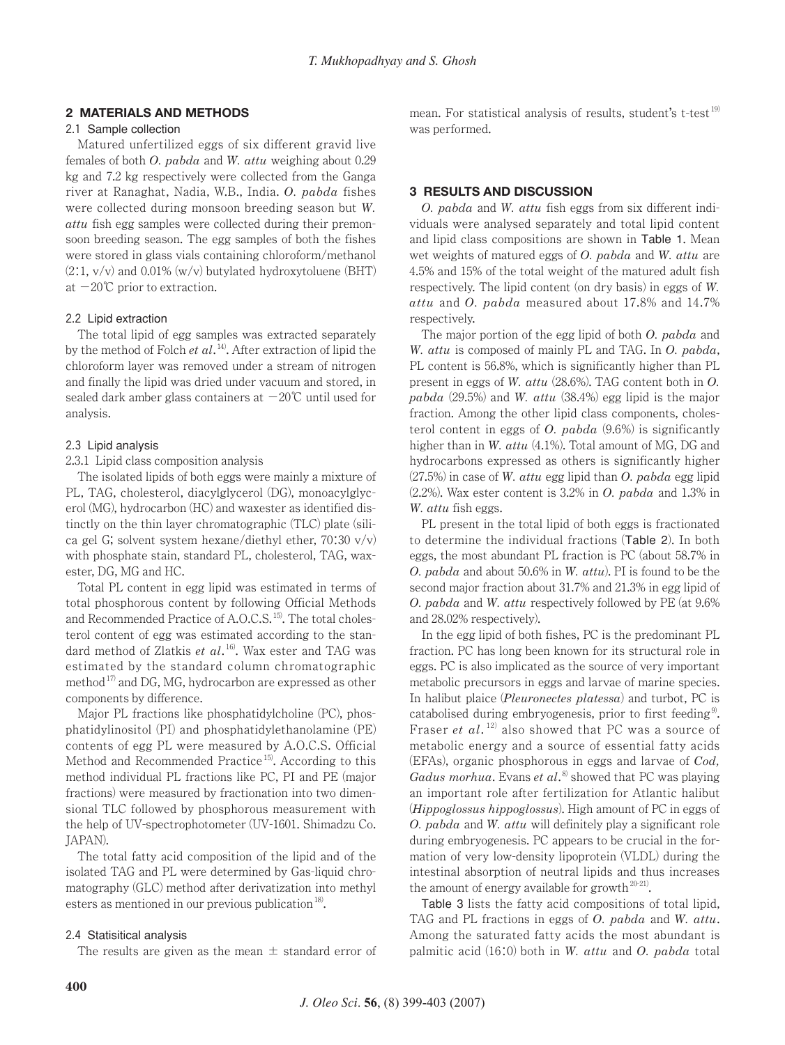# **2 MATERIALS AND METHODS**

### 2.1 Sample collection

Matured unfertilized eggs of six different gravid live females of both *O. pabda* and *W. attu* weighing about 0.29 kg and 7.2 kg respectively were collected from the Ganga river at Ranaghat, Nadia, W.B., India. *O. pabda* fishes were collected during monsoon breeding season but *W. attu* fish egg samples were collected during their premonsoon breeding season. The egg samples of both the fishes were stored in glass vials containing chloroform/methanol  $(2:1, v/v)$  and 0.01% (w/v) butylated hydroxytoluene (BHT) at  $-20^{\circ}$ C prior to extraction.

### 2.2 Lipid extraction

The total lipid of egg samples was extracted separately by the method of Folch *et al*. 14). After extraction of lipid the chloroform layer was removed under a stream of nitrogen and finally the lipid was dried under vacuum and stored, in sealed dark amber glass containers at  $-20^{\circ}$ C until used for analysis.

### 2.3 Lipid analysis

# 2.3.1 Lipid class composition analysis

The isolated lipids of both eggs were mainly a mixture of PL, TAG, cholesterol, diacylglycerol (DG), monoacylglycerol (MG), hydrocarbon (HC) and waxester as identified distinctly on the thin layer chromatographic (TLC) plate (silica gel G; solvent system hexane/diethyl ether,  $70:30 \text{ v/v}$ with phosphate stain, standard PL, cholesterol, TAG, waxester, DG, MG and HC.

Total PL content in egg lipid was estimated in terms of total phosphorous content by following Official Methods and Recommended Practice of A.O.C.S.<sup>15)</sup>. The total cholesterol content of egg was estimated according to the standard method of Zlatkis *et al*. 16). Wax ester and TAG was estimated by the standard column chromatographic method<sup>17)</sup> and DG, MG, hydrocarbon are expressed as other components by difference.

Major PL fractions like phosphatidylcholine (PC), phosphatidylinositol (PI) and phosphatidylethanolamine (PE) contents of egg PL were measured by A.O.C.S. Official Method and Recommended Practice<sup>15</sup>. According to this method individual PL fractions like PC, PI and PE (major fractions) were measured by fractionation into two dimensional TLC followed by phosphorous measurement with the help of UV-spectrophotometer (UV-1601. Shimadzu Co. JAPAN).

The total fatty acid composition of the lipid and of the isolated TAG and PL were determined by Gas-liquid chromatography (GLC) method after derivatization into methyl esters as mentioned in our previous publication<sup>18)</sup>.

## 2.4 Statisitical analysis

The results are given as the mean  $\pm$  standard error of

mean. For statistical analysis of results, student's t-test<sup>19)</sup> was performed.

## **3 RESULTS AND DISCUSSION**

*O. pabda* and *W. attu* fish eggs from six different individuals were analysed separately and total lipid content and lipid class compositions are shown in Table 1. Mean wet weights of matured eggs of *O. pabda* and *W. attu* are 4.5% and 15% of the total weight of the matured adult fish respectively. The lipid content (on dry basis) in eggs of *W. attu* and *O. pabda* measured about 17.8% and 14.7% respectively.

The major portion of the egg lipid of both *O. pabda* and *W. attu* is composed of mainly PL and TAG. In *O. pabda*, PL content is 56.8%, which is significantly higher than PL present in eggs of *W. attu* (28.6%). TAG content both in *O. pabda* (29.5%) and *W. attu* (38.4%) egg lipid is the major fraction. Among the other lipid class components, cholesterol content in eggs of *O. pabda* (9.6%) is significantly higher than in *W. attu* (4.1%). Total amount of MG, DG and hydrocarbons expressed as others is significantly higher (27.5%) in case of *W. attu* egg lipid than *O. pabda* egg lipid (2.2%). Wax ester content is 3.2% in *O. pabda* and 1.3% in *W. attu* fish eggs.

PL present in the total lipid of both eggs is fractionated to determine the individual fractions (Table 2). In both eggs, the most abundant PL fraction is PC (about 58.7% in *O. pabda* and about 50.6% in *W. attu*). PI is found to be the second major fraction about 31.7% and 21.3% in egg lipid of *O. pabda* and *W. attu* respectively followed by PE (at 9.6% and 28.02% respectively).

In the egg lipid of both fishes, PC is the predominant PL fraction. PC has long been known for its structural role in eggs. PC is also implicated as the source of very important metabolic precursors in eggs and larvae of marine species. In halibut plaice (*Pleuronectes platessa*) and turbot, PC is catabolised during embryogenesis, prior to first feeding<sup>9</sup>. Fraser *et al.*<sup>12)</sup> also showed that PC was a source of metabolic energy and a source of essential fatty acids (EFAs), organic phosphorous in eggs and larvae of *Cod, Gadus morhua*. Evans *et al*. 8) showed that PC was playing an important role after fertilization for Atlantic halibut (*Hippoglossus hippoglossus*). High amount of PC in eggs of *O. pabda* and *W. attu* will definitely play a significant role during embryogenesis. PC appears to be crucial in the formation of very low-density lipoprotein (VLDL) during the intestinal absorption of neutral lipids and thus increases the amount of energy available for growth<sup>20-21)</sup>.

Table 3 lists the fatty acid compositions of total lipid, TAG and PL fractions in eggs of *O. pabda* and *W. attu*. Among the saturated fatty acids the most abundant is palmitic acid (16:0) both in *W. attu* and *O. pabda* total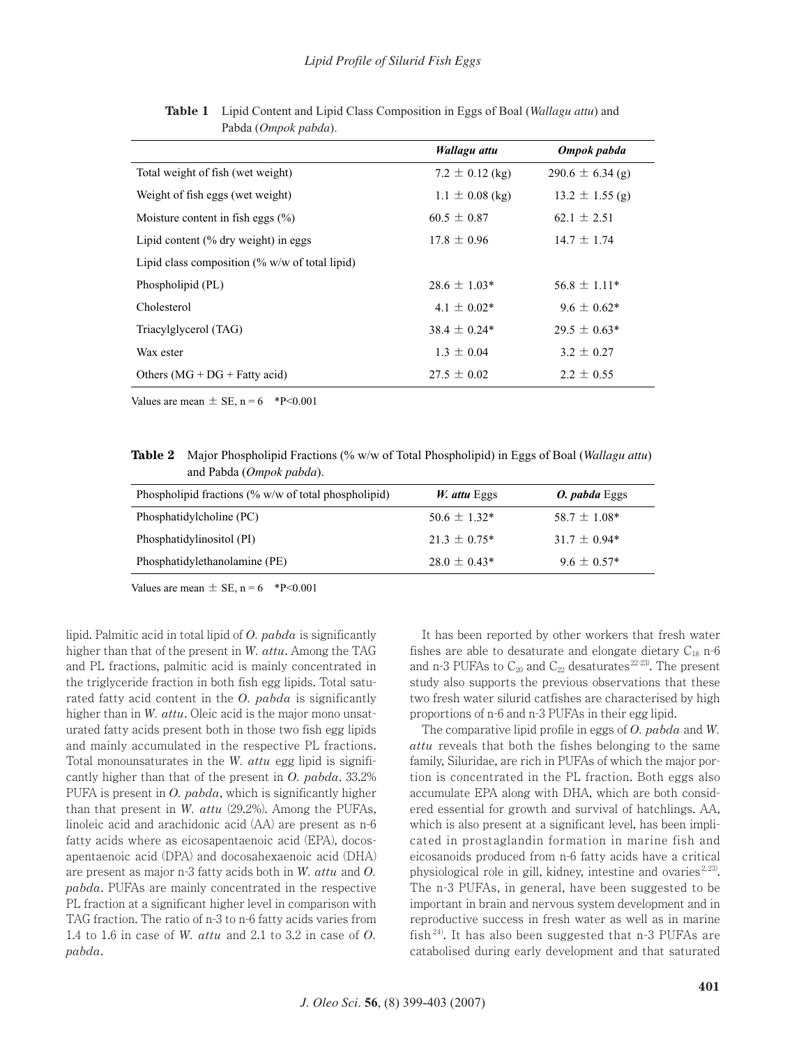|                                                                  | Wallagu attu        | Ompok pabda          |  |
|------------------------------------------------------------------|---------------------|----------------------|--|
| Total weight of fish (wet weight)                                | $7.2 \pm 0.12$ (kg) | $290.6 \pm 6.34$ (g) |  |
| Weight of fish eggs (wet weight)                                 | $1.1 \pm 0.08$ (kg) | $13.2 \pm 1.55$ (g)  |  |
| Moisture content in fish eggs $(\%)$                             | $60.5 \pm 0.87$     | $62.1 \pm 2.51$      |  |
| Lipid content $%$ dry weight) in eggs                            | $17.8 \pm 0.96$     | $14.7 \pm 1.74$      |  |
| Lipid class composition $\frac{1}{\sqrt{2}}$ w/w of total lipid) |                     |                      |  |
| Phospholipid (PL)                                                | $28.6 \pm 1.03*$    | $56.8 \pm 1.11*$     |  |
| Cholesterol                                                      | $4.1 \pm 0.02*$     | $9.6 \pm 0.62*$      |  |
| Triacylglycerol (TAG)                                            | $38.4 \pm 0.24*$    | $29.5 \pm 0.63*$     |  |
| Wax ester                                                        | $1.3 \pm 0.04$      | $3.2 \pm 0.27$       |  |
| Others $(MG + DG + Fatty acid)$                                  | $27.5 \pm 0.02$     | $2.2 \pm 0.55$       |  |

**Table 1** Lipid Content and Lipid Class Composition in Eggs of Boal (*Wallagu attu*) and Pabda (*Ompok pabda*).

Values are mean  $\pm$  SE, n = 6 \*P<0.001

**Table 2** Major Phospholipid Fractions (% w/w of Total Phospholipid) in Eggs of Boal (*Wallagu attu*) and Pabda (*Ompok pabda*).

| Phospholipid fractions $\frac{0}{0}$ w/w of total phospholipid) | W. attu Eggs     | <i>O. pabda</i> Eggs |
|-----------------------------------------------------------------|------------------|----------------------|
| Phosphatidylcholine (PC)                                        | $50.6 \pm 1.32*$ | $58.7 \pm 1.08*$     |
| Phosphatidylinositol (PI)                                       | $21.3 \pm 0.75*$ | $31.7 \pm 0.94*$     |
| Phosphatidylethanolamine (PE)                                   | $28.0 \pm 0.43*$ | $9.6 \pm 0.57*$      |

Values are mean  $\pm$  SE, n = 6 \*P<0.001

lipid. Palmitic acid in total lipid of *O. pabda* is significantly higher than that of the present in *W. attu*. Among the TAG and PL fractions, palmitic acid is mainly concentrated in the triglyceride fraction in both fish egg lipids. Total saturated fatty acid content in the *O. pabda* is significantly higher than in *W. attu*. Oleic acid is the major mono unsaturated fatty acids present both in those two fish egg lipids and mainly accumulated in the respective PL fractions. Total monounsaturates in the *W. attu* egg lipid is significantly higher than that of the present in *O. pabda*. 33.2% PUFA is present in *O. pabda*, which is significantly higher than that present in *W. attu* (29.2%). Among the PUFAs, linoleic acid and arachidonic acid (AA) are present as n-6 fatty acids where as eicosapentaenoic acid (EPA), docosapentaenoic acid (DPA) and docosahexaenoic acid (DHA) are present as major n-3 fatty acids both in *W. attu* and *O. pabda*. PUFAs are mainly concentrated in the respective PL fraction at a significant higher level in comparison with TAG fraction. The ratio of n-3 to n-6 fatty acids varies from 1.4 to 1.6 in case of *W. attu* and 2.1 to 3.2 in case of *O. pabda*.

It has been reported by other workers that fresh water fishes are able to desaturate and elongate dietary  $C_{18}$  n-6 and n-3 PUFAs to  $C_{20}$  and  $C_{22}$  desaturates  $^{22-23}$ . The present study also supports the previous observations that these two fresh water silurid catfishes are characterised by high proportions of n-6 and n-3 PUFAs in their egg lipid.

The comparative lipid profile in eggs of *O. pabda* and *W. attu* reveals that both the fishes belonging to the same family, Siluridae, are rich in PUFAs of which the major portion is concentrated in the PL fraction. Both eggs also accumulate EPA along with DHA, which are both considered essential for growth and survival of hatchlings. AA, which is also present at a significant level, has been implicated in prostaglandin formation in marine fish and eicosanoids produced from n-6 fatty acids have a critical physiological role in gill, kidney, intestine and ovaries  $2, 23$ . The n-3 PUFAs, in general, have been suggested to be important in brain and nervous system development and in reproductive success in fresh water as well as in marine fish  $24$ ). It has also been suggested that n-3 PUFAs are catabolised during early development and that saturated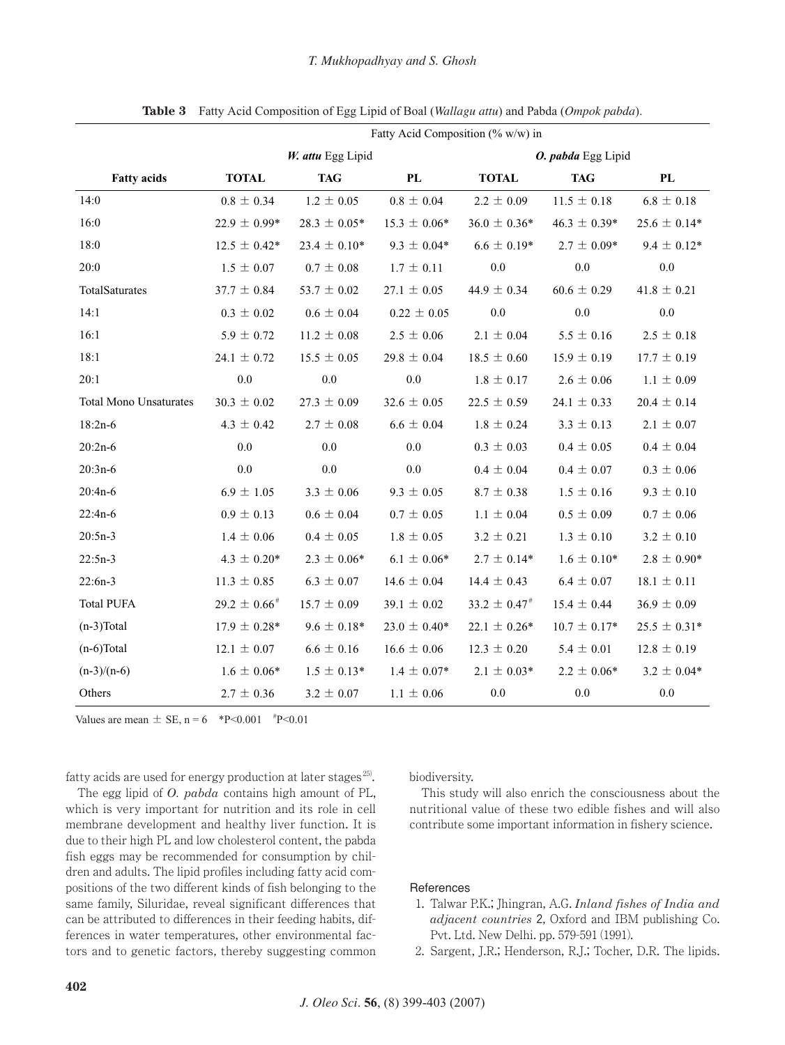|                               | Fatty Acid Composition (% $w/w$ ) in |                    |                  |                    |                  |                  |  |
|-------------------------------|--------------------------------------|--------------------|------------------|--------------------|------------------|------------------|--|
|                               | W. attu Egg Lipid                    |                    |                  | O. pabda Egg Lipid |                  |                  |  |
| <b>Fatty acids</b>            | <b>TOTAL</b>                         | <b>TAG</b>         | PL               | <b>TOTAL</b>       | <b>TAG</b>       | PL               |  |
| 14:0                          | $0.8 \pm 0.34$                       | $1.2 \pm 0.05$     | $0.8 \pm 0.04$   | $2.2 \pm 0.09$     | $11.5 \pm 0.18$  | $6.8 \pm 0.18$   |  |
| 16:0                          | $22.9 \pm 0.99*$                     | $28.3 \pm 0.05*$   | $15.3 \pm 0.06*$ | $36.0 \pm 0.36*$   | $46.3 \pm 0.39*$ | $25.6 \pm 0.14*$ |  |
| 18:0                          | $12.5 \pm 0.42^*$                    | $23.4 \pm 0.10*$   | $9.3 \pm 0.04*$  | $6.6 \pm 0.19*$    | $2.7 \pm 0.09*$  | $9.4 \pm 0.12*$  |  |
| 20:0                          | $1.5 \pm 0.07$                       | $0.7 \pm 0.08$     | $1.7 \pm 0.11$   | 0.0                | 0.0              | 0.0              |  |
| TotalSaturates                | $37.7 \pm 0.84$                      | 53.7 $\pm$ 0.02    | $27.1 \pm 0.05$  | 44.9 $\pm$ 0.34    | $60.6 \pm 0.29$  | $41.8 \pm 0.21$  |  |
| 14:1                          | $0.3 \pm 0.02$                       | $0.6 \pm 0.04$     | $0.22 \pm 0.05$  | 0.0                | 0.0              | 0.0              |  |
| 16:1                          | $5.9 \pm 0.72$                       | $11.2 \pm 0.08$    | $2.5 \pm 0.06$   | $2.1 \pm 0.04$     | $5.5 \pm 0.16$   | $2.5 \pm 0.18$   |  |
| 18:1                          | 24.1 $\pm$ 0.72                      | $15.5 \pm 0.05$    | $29.8 \pm 0.04$  | $18.5 \pm 0.60$    | $15.9 \pm 0.19$  | $17.7 \pm 0.19$  |  |
| 20:1                          | 0.0                                  | $0.0\,$            | $0.0\,$          | $1.8 \pm 0.17$     | $2.6 \pm 0.06$   | $1.1 \pm 0.09$   |  |
| <b>Total Mono Unsaturates</b> | $30.3 \pm 0.02$                      | $27.3 \pm 0.09$    | $32.6 \pm 0.05$  | $22.5 \pm 0.59$    | 24.1 $\pm$ 0.33  | $20.4 \pm 0.14$  |  |
| $18:2n-6$                     | $4.3 \pm 0.42$                       | $2.7 \pm 0.08$     | $6.6 \pm 0.04$   | $1.8 \pm 0.24$     | $3.3 \pm 0.13$   | $2.1 \pm 0.07$   |  |
| $20:2n-6$                     | 0.0                                  | 0.0                | 0.0              | $0.3 \pm 0.03$     | $0.4 \pm 0.05$   | $0.4 \pm 0.04$   |  |
| $20:3n-6$                     | 0.0                                  | 0.0                | 0.0              | $0.4 \pm 0.04$     | $0.4 \pm 0.07$   | $0.3 \pm 0.06$   |  |
| $20:4n-6$                     | $6.9 \pm 1.05$                       | $3.3 \pm 0.06$     | $9.3 \pm 0.05$   | $8.7 \pm 0.38$     | $1.5 \pm 0.16$   | $9.3 \pm 0.10$   |  |
| $22:4n-6$                     | $0.9 \pm 0.13$                       | $0.6 \pm 0.04$     | $0.7 \pm 0.05$   | $1.1 \pm 0.04$     | $0.5 \pm 0.09$   | $0.7 \pm 0.06$   |  |
| $20:5n-3$                     | $1.4 \pm 0.06$                       | $0.4 \pm 0.05$     | $1.8 \pm 0.05$   | $3.2 \pm 0.21$     | $1.3 \pm 0.10$   | $3.2 \pm 0.10$   |  |
| $22:5n-3$                     | $4.3 \pm 0.20*$                      | $2.3\,\pm\,0.06^*$ | $6.1 \pm 0.06*$  | $2.7 \pm 0.14*$    | $1.6 \pm 0.10*$  | $2.8 \pm 0.90*$  |  |
| $22:6n-3$                     | $11.3 \pm 0.85$                      | $6.3 \pm 0.07$     | $14.6 \pm 0.04$  | $14.4 \pm 0.43$    | $6.4 \pm 0.07$   | $18.1 \pm 0.11$  |  |
| <b>Total PUFA</b>             | $29.2 \pm 0.66^*$                    | $15.7 \pm 0.09$    | $39.1 \pm 0.02$  | $33.2 \pm 0.47^*$  | $15.4 \pm 0.44$  | $36.9 \pm 0.09$  |  |
| $(n-3)Total$                  | $17.9 \pm 0.28^*$                    | $9.6 \pm 0.18*$    | $23.0 \pm 0.40*$ | $22.1 \pm 0.26*$   | $10.7 \pm 0.17*$ | $25.5 \pm 0.31*$ |  |
| $(n-6)Total$                  | $12.1 \pm 0.07$                      | $6.6 \pm 0.16$     | $16.6 \pm 0.06$  | $12.3 \pm 0.20$    | $5.4 \pm 0.01$   | $12.8 \pm 0.19$  |  |
| $(n-3)/(n-6)$                 | $1.6 \pm 0.06*$                      | $1.5 \pm 0.13*$    | $1.4 \pm 0.07*$  | $2.1 \pm 0.03*$    | $2.2 \pm 0.06*$  | $3.2 \pm 0.04*$  |  |
| Others                        | $2.7 \pm 0.36$                       | $3.2 \pm 0.07$     | $1.1 \pm 0.06$   | $0.0\,$            | 0.0              | 0.0              |  |

**Table 3** Fatty Acid Composition of Egg Lipid of Boal (*Wallagu attu*) and Pabda (*Ompok pabda*).

Values are mean  $\pm$  SE, n = 6 \*P<0.001 \*P<0.01

fatty acids are used for energy production at later stages<sup>25</sup>.

The egg lipid of *O. pabda* contains high amount of PL, which is very important for nutrition and its role in cell membrane development and healthy liver function. It is due to their high PL and low cholesterol content, the pabda fish eggs may be recommended for consumption by children and adults. The lipid profiles including fatty acid compositions of the two different kinds of fish belonging to the same family, Siluridae, reveal significant differences that can be attributed to differences in their feeding habits, differences in water temperatures, other environmental factors and to genetic factors, thereby suggesting common

#### biodiversity.

This study will also enrich the consciousness about the nutritional value of these two edible fishes and will also contribute some important information in fishery science.

#### References

- 1. Talwar P.K.; Jhingran, A.G. *Inland fishes of India and adjacent countries* 2, Oxford and IBM publishing Co. Pvt. Ltd. New Delhi. pp. 579-591 (1991).
- 2. Sargent, J.R.; Henderson, R.J.; Tocher, D.R. The lipids.